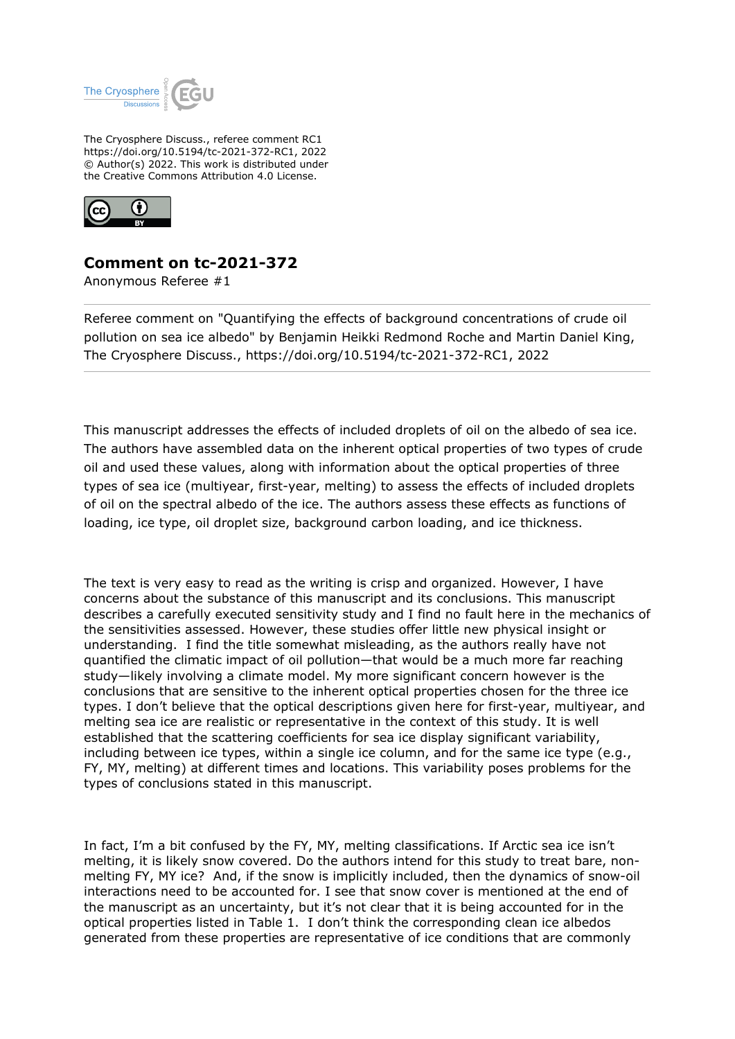

The Cryosphere Discuss., referee comment RC1 https://doi.org/10.5194/tc-2021-372-RC1, 2022 © Author(s) 2022. This work is distributed under the Creative Commons Attribution 4.0 License.



## **Comment on tc-2021-372**

Anonymous Referee #1

Referee comment on "Quantifying the effects of background concentrations of crude oil pollution on sea ice albedo" by Benjamin Heikki Redmond Roche and Martin Daniel King, The Cryosphere Discuss., https://doi.org/10.5194/tc-2021-372-RC1, 2022

This manuscript addresses the effects of included droplets of oil on the albedo of sea ice. The authors have assembled data on the inherent optical properties of two types of crude oil and used these values, along with information about the optical properties of three types of sea ice (multiyear, first-year, melting) to assess the effects of included droplets of oil on the spectral albedo of the ice. The authors assess these effects as functions of loading, ice type, oil droplet size, background carbon loading, and ice thickness.

The text is very easy to read as the writing is crisp and organized. However, I have concerns about the substance of this manuscript and its conclusions. This manuscript describes a carefully executed sensitivity study and I find no fault here in the mechanics of the sensitivities assessed. However, these studies offer little new physical insight or understanding. I find the title somewhat misleading, as the authors really have not quantified the climatic impact of oil pollution—that would be a much more far reaching study—likely involving a climate model. My more significant concern however is the conclusions that are sensitive to the inherent optical properties chosen for the three ice types. I don't believe that the optical descriptions given here for first-year, multiyear, and melting sea ice are realistic or representative in the context of this study. It is well established that the scattering coefficients for sea ice display significant variability, including between ice types, within a single ice column, and for the same ice type (e.g., FY, MY, melting) at different times and locations. This variability poses problems for the types of conclusions stated in this manuscript.

In fact, I'm a bit confused by the FY, MY, melting classifications. If Arctic sea ice isn't melting, it is likely snow covered. Do the authors intend for this study to treat bare, nonmelting FY, MY ice? And, if the snow is implicitly included, then the dynamics of snow-oil interactions need to be accounted for. I see that snow cover is mentioned at the end of the manuscript as an uncertainty, but it's not clear that it is being accounted for in the optical properties listed in Table 1. I don't think the corresponding clean ice albedos generated from these properties are representative of ice conditions that are commonly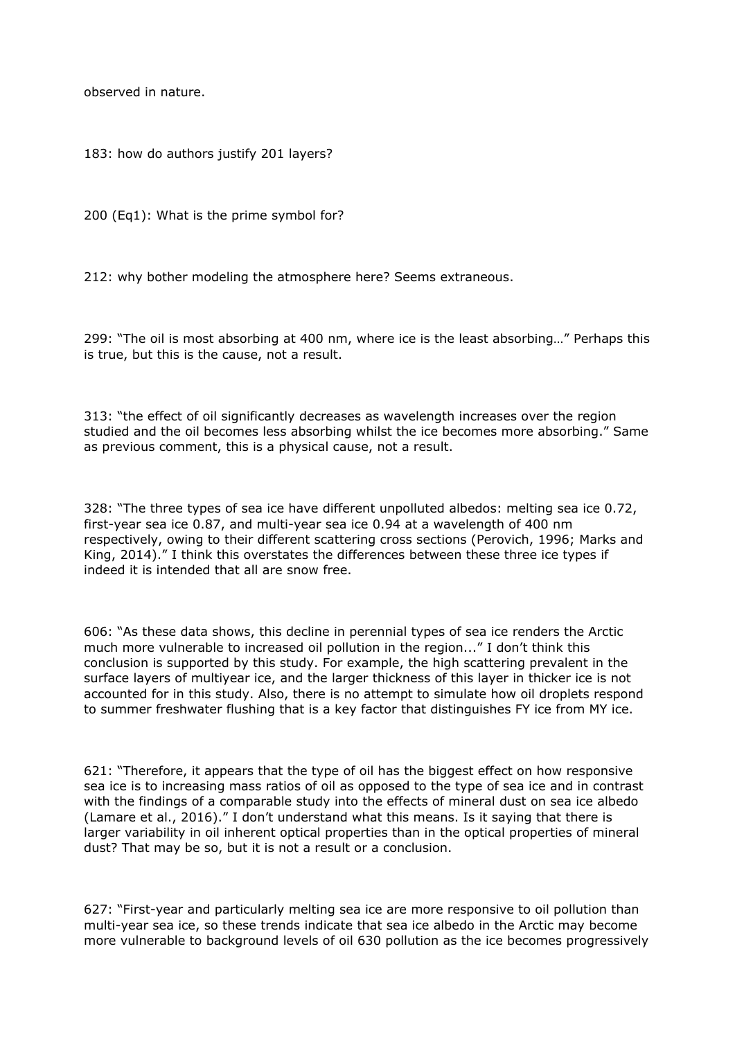observed in nature.

183: how do authors justify 201 layers?

200 (Eq1): What is the prime symbol for?

212: why bother modeling the atmosphere here? Seems extraneous.

299: "The oil is most absorbing at 400 nm, where ice is the least absorbing…" Perhaps this is true, but this is the cause, not a result.

313: "the effect of oil significantly decreases as wavelength increases over the region studied and the oil becomes less absorbing whilst the ice becomes more absorbing." Same as previous comment, this is a physical cause, not a result.

328: "The three types of sea ice have different unpolluted albedos: melting sea ice 0.72, first-year sea ice 0.87, and multi-year sea ice 0.94 at a wavelength of 400 nm respectively, owing to their different scattering cross sections (Perovich, 1996; Marks and King, 2014)." I think this overstates the differences between these three ice types if indeed it is intended that all are snow free.

606: "As these data shows, this decline in perennial types of sea ice renders the Arctic much more vulnerable to increased oil pollution in the region..." I don't think this conclusion is supported by this study. For example, the high scattering prevalent in the surface layers of multiyear ice, and the larger thickness of this layer in thicker ice is not accounted for in this study. Also, there is no attempt to simulate how oil droplets respond to summer freshwater flushing that is a key factor that distinguishes FY ice from MY ice.

621: "Therefore, it appears that the type of oil has the biggest effect on how responsive sea ice is to increasing mass ratios of oil as opposed to the type of sea ice and in contrast with the findings of a comparable study into the effects of mineral dust on sea ice albedo (Lamare et al., 2016)." I don't understand what this means. Is it saying that there is larger variability in oil inherent optical properties than in the optical properties of mineral dust? That may be so, but it is not a result or a conclusion.

627: "First-year and particularly melting sea ice are more responsive to oil pollution than multi-year sea ice, so these trends indicate that sea ice albedo in the Arctic may become more vulnerable to background levels of oil 630 pollution as the ice becomes progressively